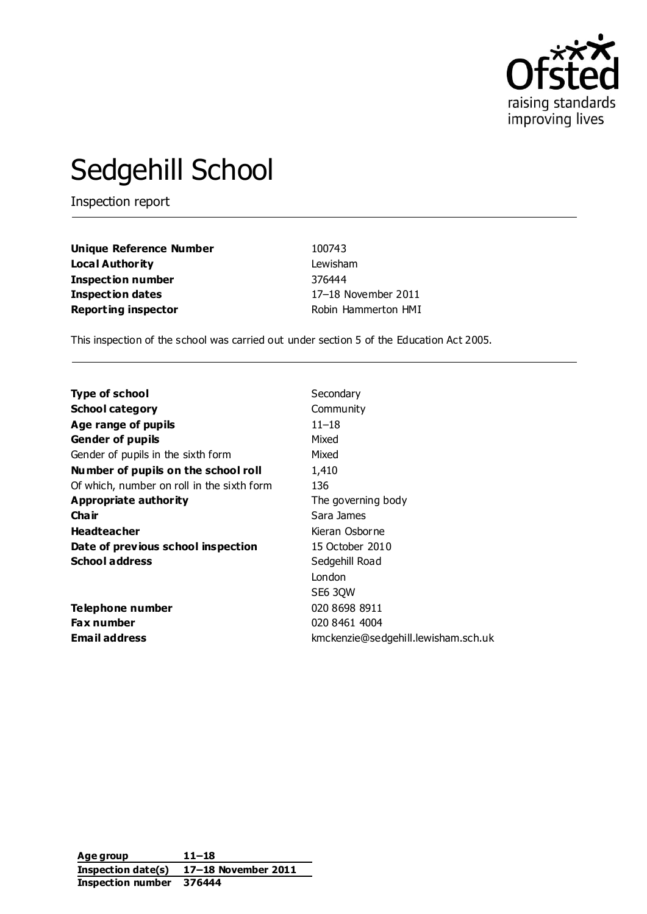

# Sedgehill School

Inspection report

**Unique Reference Number** 100743 **Local Authority** Lewisham **Inspection number** 376444 **Inspection dates** 17–18 November 2011 **Reporting inspector Robin Hammerton HMI** 

This inspection of the school was carried out under section 5 of the Education Act 2005.

| <b>Type of school</b>                      | Secondary                           |
|--------------------------------------------|-------------------------------------|
| <b>School category</b>                     | Community                           |
| Age range of pupils                        | 11–18                               |
| <b>Gender of pupils</b>                    | Mixed                               |
| Gender of pupils in the sixth form         | Mixed                               |
| Number of pupils on the school roll        | 1,410                               |
| Of which, number on roll in the sixth form | 136                                 |
| <b>Appropriate authority</b>               | The governing body                  |
| Cha ir                                     | Sara James                          |
| <b>Headteacher</b>                         | Kieran Osborne                      |
| Date of previous school inspection         | 15 October 2010                     |
| <b>School address</b>                      | Sedgehill Road                      |
|                                            | London                              |
|                                            | SE6 3QW                             |
| Telephone number                           | 020 8698 8911                       |
| <b>Fax number</b>                          | 020 8461 4004                       |
| <b>Email address</b>                       | kmckenzie@sedgehill.lewisham.sch.uk |

**Age group 11–18 Inspection date(s) 17–18 November 2011 Inspection number 376444**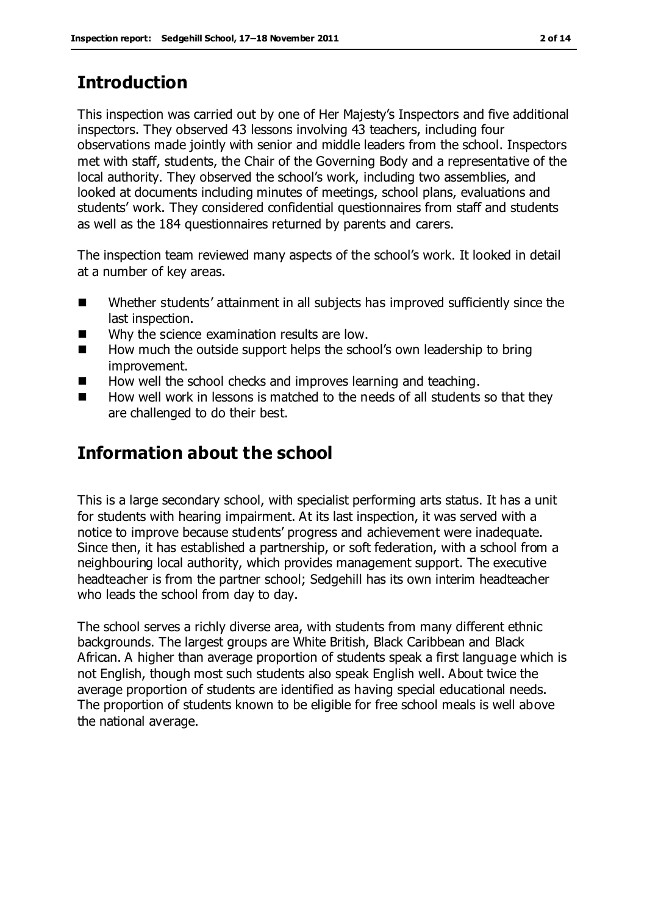## **Introduction**

This inspection was carried out by one of Her Majesty's Inspectors and five additional inspectors. They observed 43 lessons involving 43 teachers, including four observations made jointly with senior and middle leaders from the school. Inspectors met with staff, students, the Chair of the Governing Body and a representative of the local authority. They observed the school's work, including two assemblies, and looked at documents including minutes of meetings, school plans, evaluations and students' work. They considered confidential questionnaires from staff and students as well as the 184 questionnaires returned by parents and carers.

The inspection team reviewed many aspects of the school's work. It looked in detail at a number of key areas.

- Whether students' attainment in all subjects has improved sufficiently since the last inspection.
- Why the science examination results are low.
- $\blacksquare$  How much the outside support helps the school's own leadership to bring improvement.
- How well the school checks and improves learning and teaching.
- $\blacksquare$  How well work in lessons is matched to the needs of all students so that they are challenged to do their best.

# **Information about the school**

This is a large secondary school, with specialist performing arts status. It has a unit for students with hearing impairment. At its last inspection, it was served with a notice to improve because students' progress and achievement were inadequate. Since then, it has established a partnership, or soft federation, with a school from a neighbouring local authority, which provides management support. The executive headteacher is from the partner school; Sedgehill has its own interim headteacher who leads the school from day to day.

The school serves a richly diverse area, with students from many different ethnic backgrounds. The largest groups are White British, Black Caribbean and Black African. A higher than average proportion of students speak a first language which is not English, though most such students also speak English well. About twice the average proportion of students are identified as having special educational needs. The proportion of students known to be eligible for free school meals is well above the national average.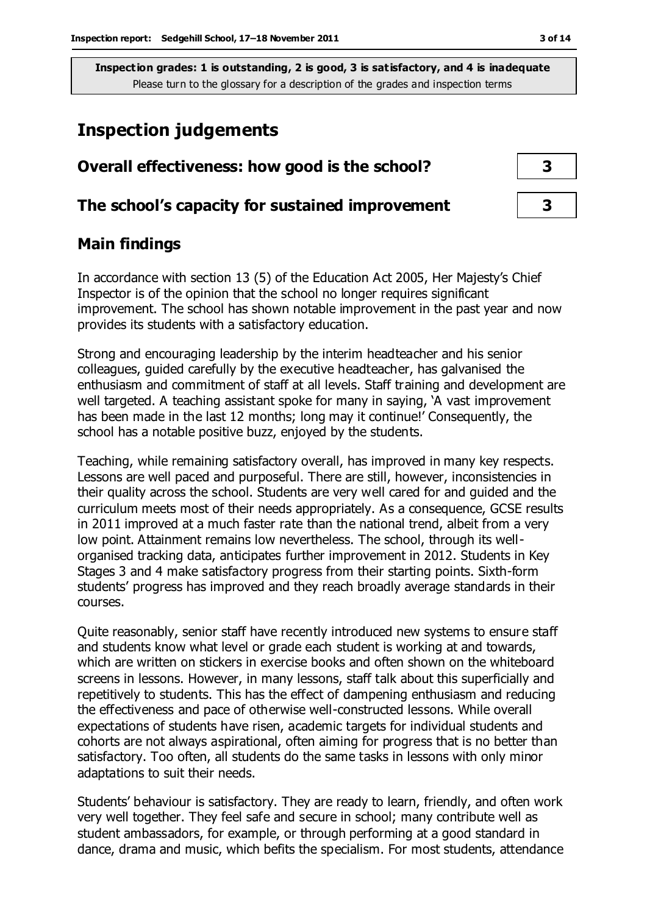## **Inspection judgements**

| Overall effectiveness: how good is the school?  |  |  |
|-------------------------------------------------|--|--|
| The school's capacity for sustained improvement |  |  |

## **Main findings**

In accordance with section 13 (5) of the Education Act 2005, Her Majesty's Chief Inspector is of the opinion that the school no longer requires significant improvement. The school has shown notable improvement in the past year and now provides its students with a satisfactory education.

Strong and encouraging leadership by the interim headteacher and his senior colleagues, guided carefully by the executive headteacher, has galvanised the enthusiasm and commitment of staff at all levels. Staff training and development are well targeted. A teaching assistant spoke for many in saying, 'A vast improvement has been made in the last 12 months; long may it continue!' Consequently, the school has a notable positive buzz, enjoyed by the students.

Teaching, while remaining satisfactory overall, has improved in many key respects. Lessons are well paced and purposeful. There are still, however, inconsistencies in their quality across the school. Students are very well cared for and guided and the curriculum meets most of their needs appropriately. As a consequence, GCSE results in 2011 improved at a much faster rate than the national trend, albeit from a very low point. Attainment remains low nevertheless. The school, through its wellorganised tracking data, anticipates further improvement in 2012. Students in Key Stages 3 and 4 make satisfactory progress from their starting points. Sixth-form students' progress has improved and they reach broadly average standards in their courses.

Quite reasonably, senior staff have recently introduced new systems to ensure staff and students know what level or grade each student is working at and towards, which are written on stickers in exercise books and often shown on the whiteboard screens in lessons. However, in many lessons, staff talk about this superficially and repetitively to students. This has the effect of dampening enthusiasm and reducing the effectiveness and pace of otherwise well-constructed lessons. While overall expectations of students have risen, academic targets for individual students and cohorts are not always aspirational, often aiming for progress that is no better than satisfactory. Too often, all students do the same tasks in lessons with only minor adaptations to suit their needs.

Students' behaviour is satisfactory. They are ready to learn, friendly, and often work very well together. They feel safe and secure in school; many contribute well as student ambassadors, for example, or through performing at a good standard in dance, drama and music, which befits the specialism. For most students, attendance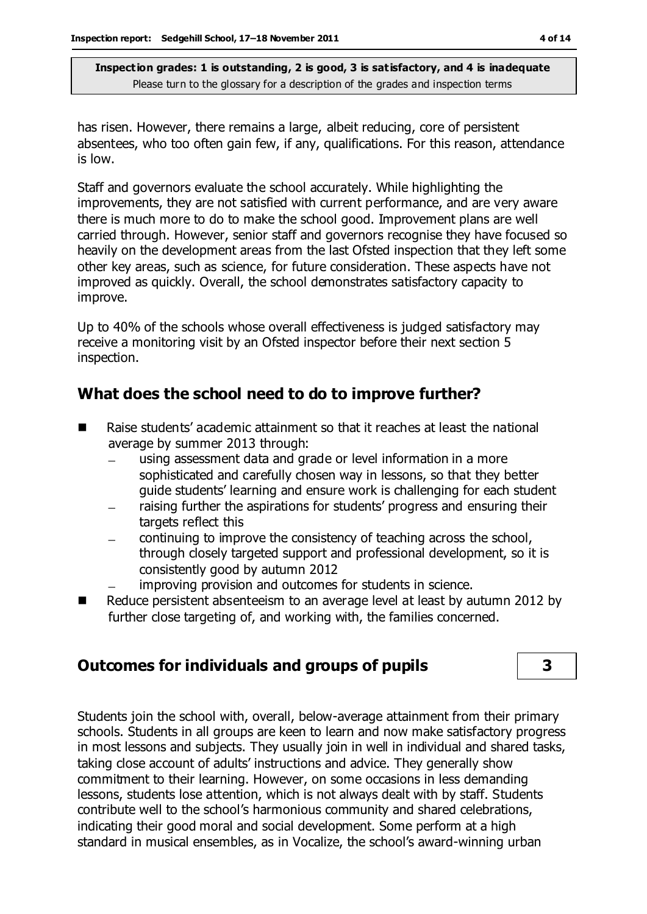has risen. However, there remains a large, albeit reducing, core of persistent absentees, who too often gain few, if any, qualifications. For this reason, attendance is low.

Staff and governors evaluate the school accurately. While highlighting the improvements, they are not satisfied with current performance, and are very aware there is much more to do to make the school good. Improvement plans are well carried through. However, senior staff and governors recognise they have focused so heavily on the development areas from the last Ofsted inspection that they left some other key areas, such as science, for future consideration. These aspects have not improved as quickly. Overall, the school demonstrates satisfactory capacity to improve.

Up to 40% of the schools whose overall effectiveness is judged satisfactory may receive a monitoring visit by an Ofsted inspector before their next section 5 inspection.

## **What does the school need to do to improve further?**

- Raise students' academic attainment so that it reaches at least the national average by summer 2013 through:
	- using assessment data and grade or level information in a more  $\frac{1}{2}$ sophisticated and carefully chosen way in lessons, so that they better guide students' learning and ensure work is challenging for each student
	- raising further the aspirations for students' progress and ensuring their targets reflect this
	- continuing to improve the consistency of teaching across the school,  $\equiv$ through closely targeted support and professional development, so it is consistently good by autumn 2012
	- improving provision and outcomes for students in science.
- Reduce persistent absenteeism to an average level at least by autumn 2012 by further close targeting of, and working with, the families concerned.

## **Outcomes for individuals and groups of pupils 3**

Students join the school with, overall, below-average attainment from their primary schools. Students in all groups are keen to learn and now make satisfactory progress in most lessons and subjects. They usually join in well in individual and shared tasks, taking close account of adults' instructions and advice. They generally show commitment to their learning. However, on some occasions in less demanding lessons, students lose attention, which is not always dealt with by staff. Students contribute well to the school's harmonious community and shared celebrations, indicating their good moral and social development. Some perform at a high standard in musical ensembles, as in Vocalize, the school's award-winning urban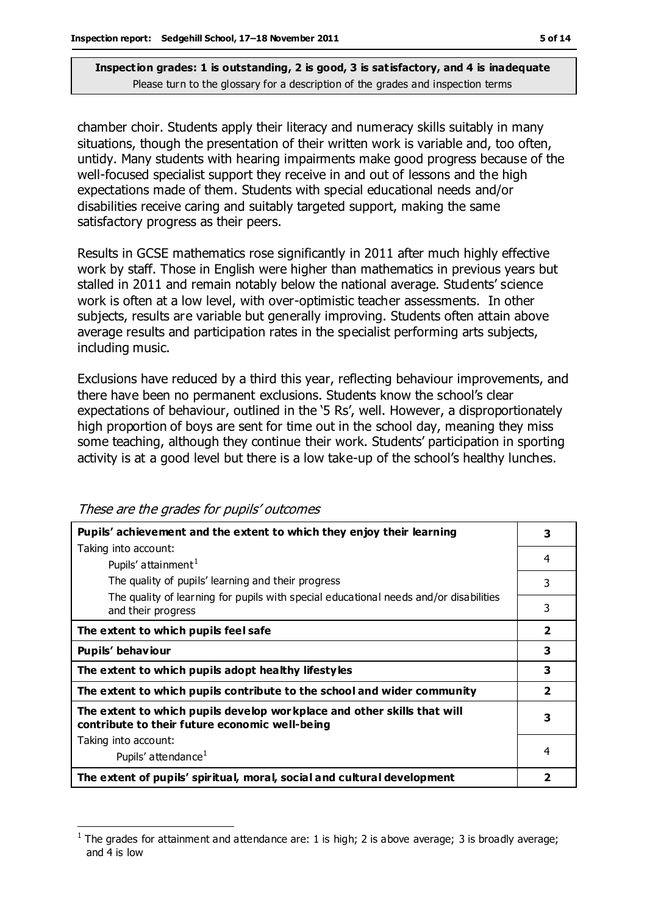chamber choir. Students apply their literacy and numeracy skills suitably in many situations, though the presentation of their written work is variable and, too often, untidy. Many students with hearing impairments make good progress because of the well-focused specialist support they receive in and out of lessons and the high expectations made of them. Students with special educational needs and/or disabilities receive caring and suitably targeted support, making the same satisfactory progress as their peers.

Results in GCSE mathematics rose significantly in 2011 after much highly effective work by staff. Those in English were higher than mathematics in previous years but stalled in 2011 and remain notably below the national average. Students' science work is often at a low level, with over-optimistic teacher assessments. In other subjects, results are variable but generally improving. Students often attain above average results and participation rates in the specialist performing arts subjects, including music.

Exclusions have reduced by a third this year, reflecting behaviour improvements, and there have been no permanent exclusions. Students know the school's clear expectations of behaviour, outlined in the '5 Rs', well. However, a disproportionately high proportion of boys are sent for time out in the school day, meaning they miss some teaching, although they continue their work. Students' participation in sporting activity is at a good level but there is a low take-up of the school's healthy lunches.

| Pupils' achievement and the extent to which they enjoy their learning                                                     |                |
|---------------------------------------------------------------------------------------------------------------------------|----------------|
|                                                                                                                           | 3              |
| Taking into account:                                                                                                      |                |
| Pupils' attainment <sup>1</sup>                                                                                           | 4              |
| The quality of pupils' learning and their progress                                                                        | 3              |
| The quality of learning for pupils with special educational needs and/or disabilities<br>and their progress               | 3              |
| The extent to which pupils feel safe                                                                                      | $\overline{2}$ |
| Pupils' behaviour                                                                                                         | 3              |
| The extent to which pupils adopt healthy lifestyles                                                                       | 3              |
| The extent to which pupils contribute to the school and wider community                                                   | $\overline{2}$ |
| The extent to which pupils develop workplace and other skills that will<br>contribute to their future economic well-being | з              |
| Taking into account:                                                                                                      |                |
| Pupils' attendance <sup>1</sup>                                                                                           | 4              |
| The extent of pupils' spiritual, moral, social and cultural development                                                   |                |

These are the grades for pupils' outcomes

 $\overline{a}$ 1 The grades for attainment and attendance are: 1 is high; 2 is above average; 3 is broadly average; and 4 is low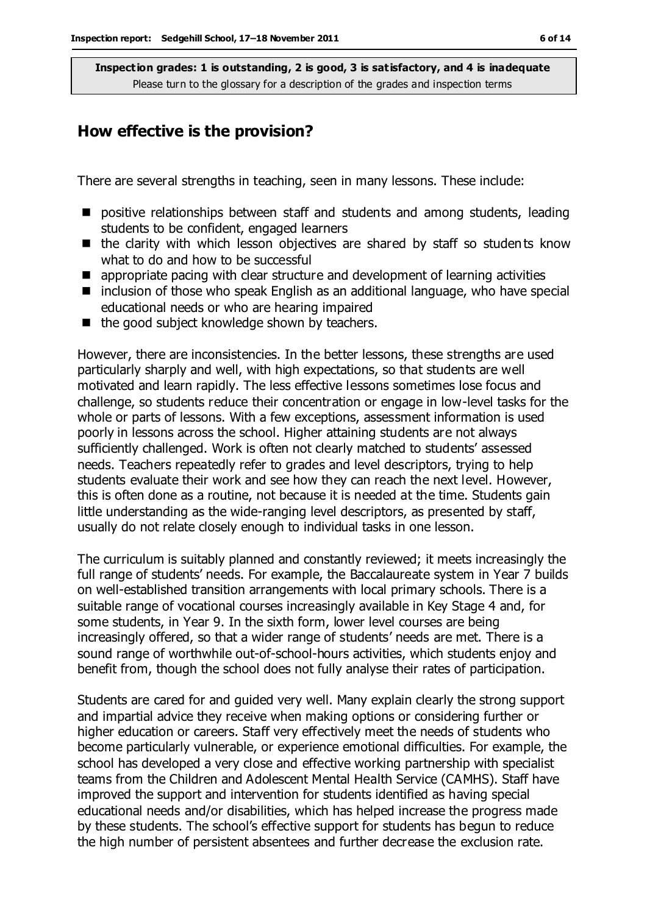### **How effective is the provision?**

There are several strengths in teaching, seen in many lessons. These include:

- **P** positive relationships between staff and students and among students, leading students to be confident, engaged learners
- $\blacksquare$  the clarity with which lesson objectives are shared by staff so students know what to do and how to be successful
- **E** appropriate pacing with clear structure and development of learning activities
- $\blacksquare$  inclusion of those who speak English as an additional language, who have special educational needs or who are hearing impaired
- $\blacksquare$  the good subject knowledge shown by teachers.

However, there are inconsistencies. In the better lessons, these strengths are used particularly sharply and well, with high expectations, so that students are well motivated and learn rapidly. The less effective lessons sometimes lose focus and challenge, so students reduce their concentration or engage in low-level tasks for the whole or parts of lessons. With a few exceptions, assessment information is used poorly in lessons across the school. Higher attaining students are not always sufficiently challenged. Work is often not clearly matched to students' assessed needs. Teachers repeatedly refer to grades and level descriptors, trying to help students evaluate their work and see how they can reach the next level. However, this is often done as a routine, not because it is needed at the time. Students gain little understanding as the wide-ranging level descriptors, as presented by staff, usually do not relate closely enough to individual tasks in one lesson.

The curriculum is suitably planned and constantly reviewed; it meets increasingly the full range of students' needs. For example, the Baccalaureate system in Year 7 builds on well-established transition arrangements with local primary schools. There is a suitable range of vocational courses increasingly available in Key Stage 4 and, for some students, in Year 9. In the sixth form, lower level courses are being increasingly offered, so that a wider range of students' needs are met. There is a sound range of worthwhile out-of-school-hours activities, which students enjoy and benefit from, though the school does not fully analyse their rates of participation.

Students are cared for and guided very well. Many explain clearly the strong support and impartial advice they receive when making options or considering further or higher education or careers. Staff very effectively meet the needs of students who become particularly vulnerable, or experience emotional difficulties. For example, the school has developed a very close and effective working partnership with specialist teams from the Children and Adolescent Mental Health Service (CAMHS). Staff have improved the support and intervention for students identified as having special educational needs and/or disabilities, which has helped increase the progress made by these students. The school's effective support for students has begun to reduce the high number of persistent absentees and further decrease the exclusion rate.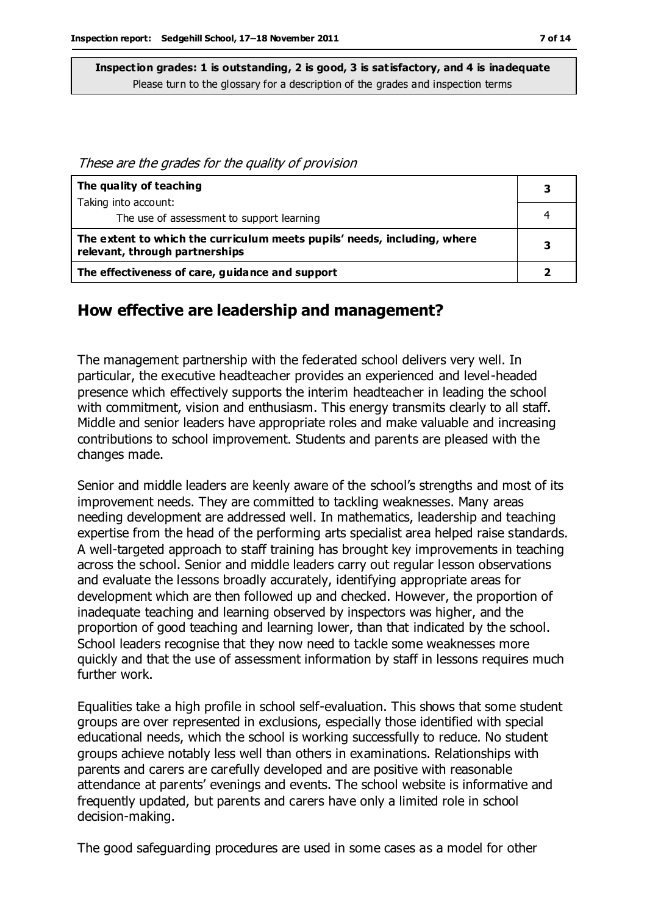These are the grades for the quality of provision

| The quality of teaching                                                                                    | З |
|------------------------------------------------------------------------------------------------------------|---|
| Taking into account:                                                                                       |   |
| The use of assessment to support learning                                                                  |   |
| The extent to which the curriculum meets pupils' needs, including, where<br>relevant, through partnerships |   |
| The effectiveness of care, guidance and support                                                            |   |

## **How effective are leadership and management?**

The management partnership with the federated school delivers very well. In particular, the executive headteacher provides an experienced and level-headed presence which effectively supports the interim headteacher in leading the school with commitment, vision and enthusiasm. This energy transmits clearly to all staff. Middle and senior leaders have appropriate roles and make valuable and increasing contributions to school improvement. Students and parents are pleased with the changes made.

Senior and middle leaders are keenly aware of the school's strengths and most of its improvement needs. They are committed to tackling weaknesses. Many areas needing development are addressed well. In mathematics, leadership and teaching expertise from the head of the performing arts specialist area helped raise standards. A well-targeted approach to staff training has brought key improvements in teaching across the school. Senior and middle leaders carry out regular lesson observations and evaluate the lessons broadly accurately, identifying appropriate areas for development which are then followed up and checked. However, the proportion of inadequate teaching and learning observed by inspectors was higher, and the proportion of good teaching and learning lower, than that indicated by the school. School leaders recognise that they now need to tackle some weaknesses more quickly and that the use of assessment information by staff in lessons requires much further work.

Equalities take a high profile in school self-evaluation. This shows that some student groups are over represented in exclusions, especially those identified with special educational needs, which the school is working successfully to reduce. No student groups achieve notably less well than others in examinations. Relationships with parents and carers are carefully developed and are positive with reasonable attendance at parents' evenings and events. The school website is informative and frequently updated, but parents and carers have only a limited role in school decision-making.

The good safeguarding procedures are used in some cases as a model for other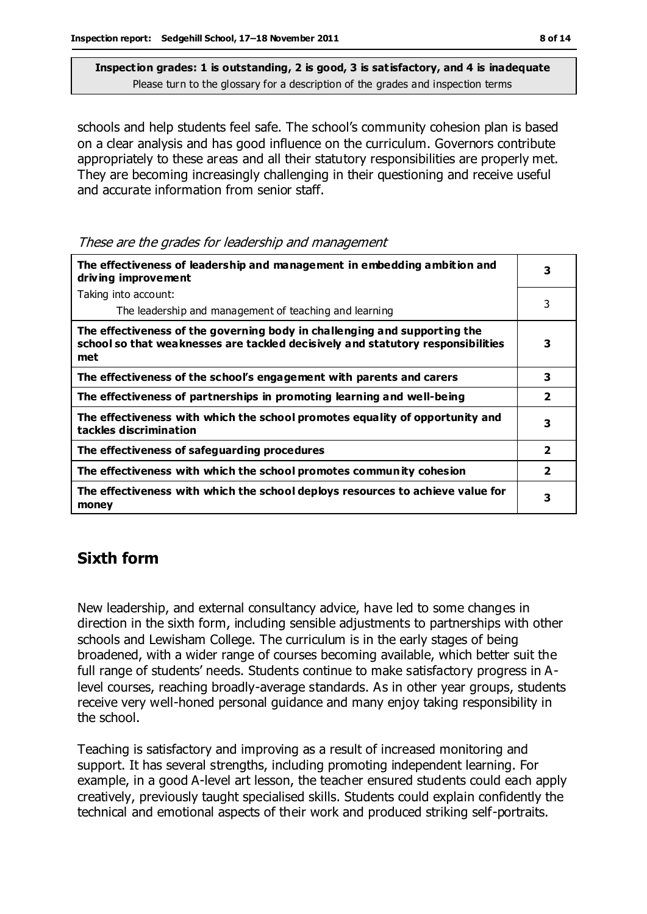schools and help students feel safe. The school's community cohesion plan is based on a clear analysis and has good influence on the curriculum. Governors contribute appropriately to these areas and all their statutory responsibilities are properly met. They are becoming increasingly challenging in their questioning and receive useful and accurate information from senior staff.

These are the grades for leadership and management

| The effectiveness of leadership and management in embedding ambition and<br>driving improvement                                                                     |                         |
|---------------------------------------------------------------------------------------------------------------------------------------------------------------------|-------------------------|
| Taking into account:                                                                                                                                                |                         |
| The leadership and management of teaching and learning                                                                                                              | 3                       |
| The effectiveness of the governing body in challenging and supporting the<br>school so that weaknesses are tackled decisively and statutory responsibilities<br>met | 3                       |
| The effectiveness of the school's engagement with parents and carers                                                                                                | 3                       |
| The effectiveness of partnerships in promoting learning and well-being                                                                                              | $\overline{\mathbf{2}}$ |
| The effectiveness with which the school promotes equality of opportunity and<br>tackles discrimination                                                              | 3                       |
| The effectiveness of safeguarding procedures                                                                                                                        | $\overline{2}$          |
| The effectiveness with which the school promotes community cohesion                                                                                                 | $\overline{\mathbf{2}}$ |
| The effectiveness with which the school deploys resources to achieve value for<br>money                                                                             | 3                       |

## **Sixth form**

New leadership, and external consultancy advice, have led to some changes in direction in the sixth form, including sensible adjustments to partnerships with other schools and Lewisham College. The curriculum is in the early stages of being broadened, with a wider range of courses becoming available, which better suit the full range of students' needs. Students continue to make satisfactory progress in Alevel courses, reaching broadly-average standards. As in other year groups, students receive very well-honed personal guidance and many enjoy taking responsibility in the school.

Teaching is satisfactory and improving as a result of increased monitoring and support. It has several strengths, including promoting independent learning. For example, in a good A-level art lesson, the teacher ensured students could each apply creatively, previously taught specialised skills. Students could explain confidently the technical and emotional aspects of their work and produced striking self-portraits.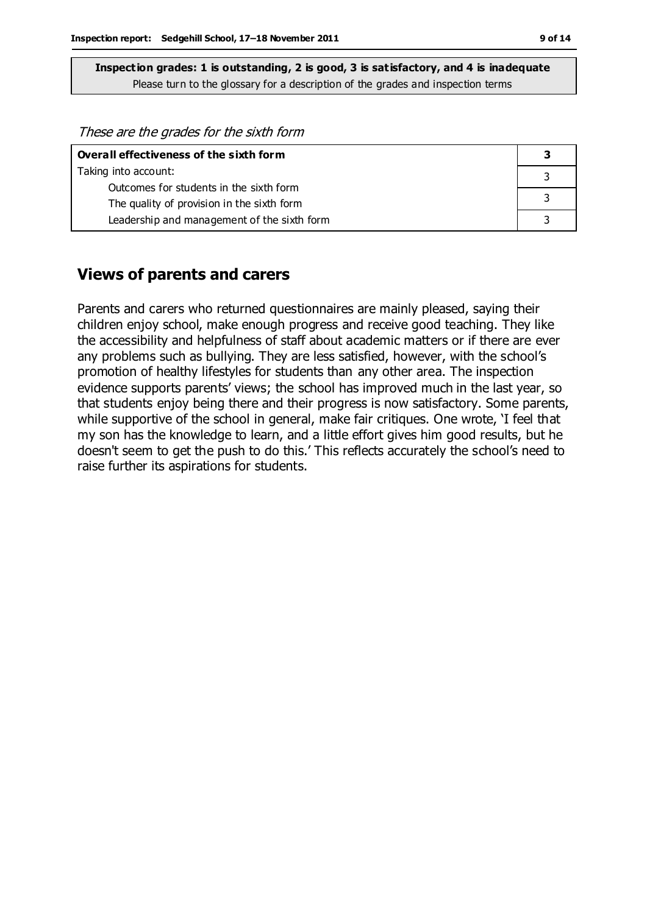| Overall effectiveness of the sixth form     |  |
|---------------------------------------------|--|
| Taking into account:                        |  |
| Outcomes for students in the sixth form     |  |
| The quality of provision in the sixth form  |  |
| Leadership and management of the sixth form |  |

#### **Views of parents and carers**

Parents and carers who returned questionnaires are mainly pleased, saying their children enjoy school, make enough progress and receive good teaching. They like the accessibility and helpfulness of staff about academic matters or if there are ever any problems such as bullying. They are less satisfied, however, with the school's promotion of healthy lifestyles for students than any other area. The inspection evidence supports parents' views; the school has improved much in the last year, so that students enjoy being there and their progress is now satisfactory. Some parents, while supportive of the school in general, make fair critiques. One wrote, 'I feel that my son has the knowledge to learn, and a little effort gives him good results, but he doesn't seem to get the push to do this.' This reflects accurately the school's need to raise further its aspirations for students.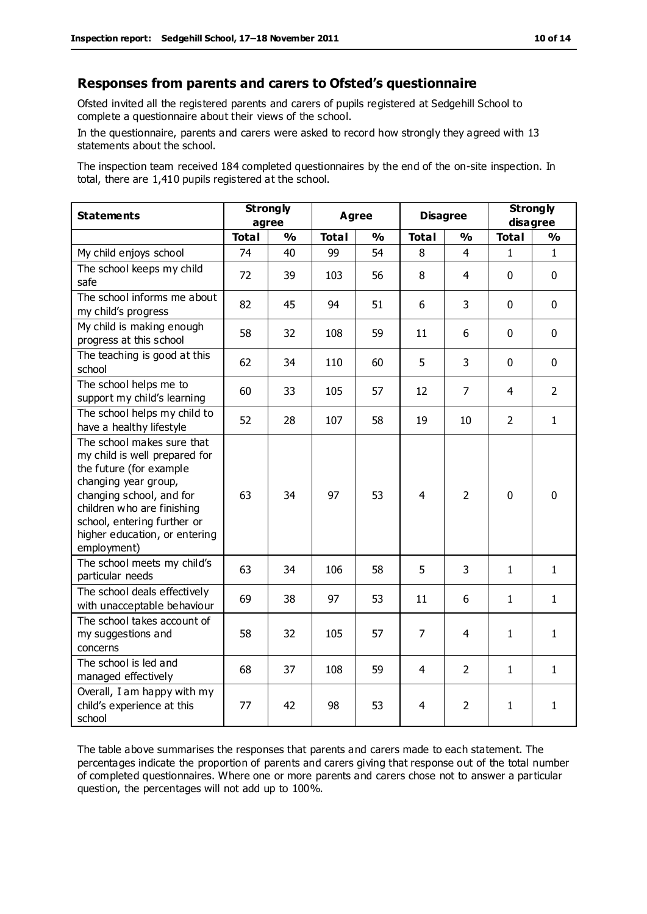#### **Responses from parents and carers to Ofsted's questionnaire**

Ofsted invited all the registered parents and carers of pupils registered at Sedgehill School to complete a questionnaire about their views of the school.

In the questionnaire, parents and carers were asked to record how strongly they agreed with 13 statements about the school.

The inspection team received 184 completed questionnaires by the end of the on-site inspection. In total, there are 1,410 pupils registered at the school.

| <b>Statements</b>                                                                                                                                                                                                                                       | <b>Strongly</b><br>agree |               | <b>Agree</b> |               | <b>Disagree</b> |                | <b>Strongly</b><br>disagree |                |
|---------------------------------------------------------------------------------------------------------------------------------------------------------------------------------------------------------------------------------------------------------|--------------------------|---------------|--------------|---------------|-----------------|----------------|-----------------------------|----------------|
|                                                                                                                                                                                                                                                         | <b>Total</b>             | $\frac{1}{2}$ | <b>Total</b> | $\frac{1}{2}$ | <b>Total</b>    | $\frac{1}{2}$  | <b>Total</b>                | $\frac{1}{2}$  |
| My child enjoys school                                                                                                                                                                                                                                  | 74                       | 40            | 99           | 54            | 8               | 4              | 1                           | $\mathbf{1}$   |
| The school keeps my child<br>safe                                                                                                                                                                                                                       | 72                       | 39            | 103          | 56            | 8               | 4              | $\mathbf 0$                 | $\mathbf 0$    |
| The school informs me about<br>my child's progress                                                                                                                                                                                                      | 82                       | 45            | 94           | 51            | 6               | 3              | $\mathbf 0$                 | $\mathbf 0$    |
| My child is making enough<br>progress at this school                                                                                                                                                                                                    | 58                       | 32            | 108          | 59            | 11              | 6              | $\mathbf 0$                 | $\mathbf 0$    |
| The teaching is good at this<br>school                                                                                                                                                                                                                  | 62                       | 34            | 110          | 60            | 5               | 3              | $\mathbf 0$                 | $\mathbf 0$    |
| The school helps me to<br>support my child's learning                                                                                                                                                                                                   | 60                       | 33            | 105          | 57            | 12              | $\overline{7}$ | 4                           | $\overline{2}$ |
| The school helps my child to<br>have a healthy lifestyle                                                                                                                                                                                                | 52                       | 28            | 107          | 58            | 19              | 10             | $\overline{2}$              | $\mathbf{1}$   |
| The school makes sure that<br>my child is well prepared for<br>the future (for example<br>changing year group,<br>changing school, and for<br>children who are finishing<br>school, entering further or<br>higher education, or entering<br>employment) | 63                       | 34            | 97           | 53            | $\overline{4}$  | $\overline{2}$ | $\mathbf{0}$                | $\mathbf 0$    |
| The school meets my child's<br>particular needs                                                                                                                                                                                                         | 63                       | 34            | 106          | 58            | 5               | 3              | $\mathbf{1}$                | $\mathbf{1}$   |
| The school deals effectively<br>with unacceptable behaviour                                                                                                                                                                                             | 69                       | 38            | 97           | 53            | 11              | 6              | 1                           | $\mathbf{1}$   |
| The school takes account of<br>my suggestions and<br>concerns                                                                                                                                                                                           | 58                       | 32            | 105          | 57            | $\overline{7}$  | 4              | $\mathbf{1}$                | $\mathbf{1}$   |
| The school is led and<br>managed effectively                                                                                                                                                                                                            | 68                       | 37            | 108          | 59            | $\overline{4}$  | $\overline{2}$ | $\mathbf{1}$                | $\mathbf{1}$   |
| Overall, I am happy with my<br>child's experience at this<br>school                                                                                                                                                                                     | 77                       | 42            | 98           | 53            | 4               | 2              | $\mathbf{1}$                | $\mathbf{1}$   |

The table above summarises the responses that parents and carers made to each statement. The percentages indicate the proportion of parents and carers giving that response out of the total number of completed questionnaires. Where one or more parents and carers chose not to answer a particular question, the percentages will not add up to 100%.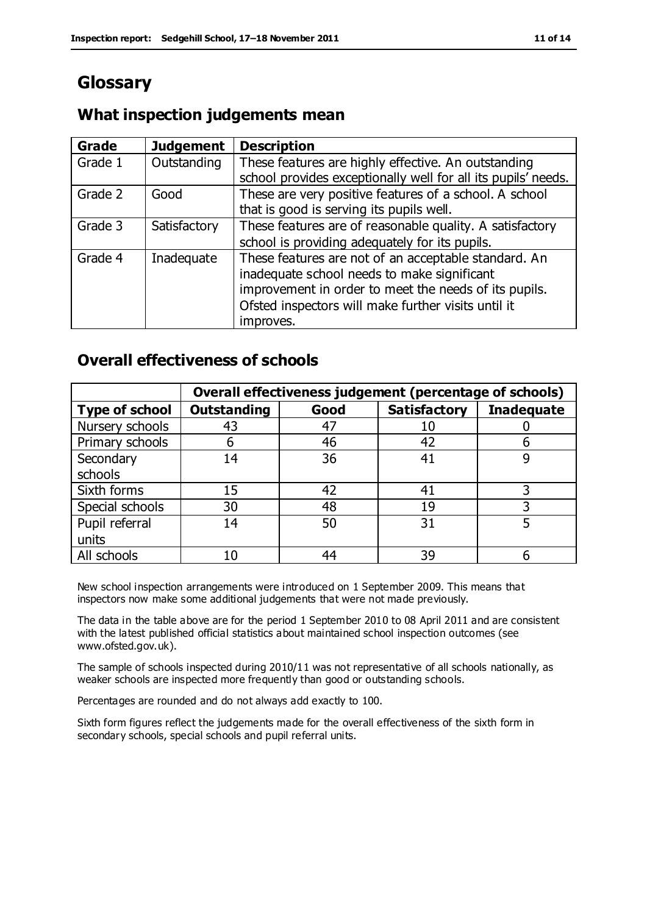# **Glossary**

## **What inspection judgements mean**

| <b>Grade</b> | <b>Judgement</b> | <b>Description</b>                                            |
|--------------|------------------|---------------------------------------------------------------|
| Grade 1      | Outstanding      | These features are highly effective. An outstanding           |
|              |                  | school provides exceptionally well for all its pupils' needs. |
| Grade 2      | Good             | These are very positive features of a school. A school        |
|              |                  | that is good is serving its pupils well.                      |
| Grade 3      | Satisfactory     | These features are of reasonable quality. A satisfactory      |
|              |                  | school is providing adequately for its pupils.                |
| Grade 4      | Inadequate       | These features are not of an acceptable standard. An          |
|              |                  | inadequate school needs to make significant                   |
|              |                  | improvement in order to meet the needs of its pupils.         |
|              |                  | Ofsted inspectors will make further visits until it           |
|              |                  | improves.                                                     |

## **Overall effectiveness of schools**

|                       |                    |      | Overall effectiveness judgement (percentage of schools) |                   |
|-----------------------|--------------------|------|---------------------------------------------------------|-------------------|
| <b>Type of school</b> | <b>Outstanding</b> | Good | <b>Satisfactory</b>                                     | <b>Inadequate</b> |
| Nursery schools       | 43                 | 47   | 10                                                      |                   |
| Primary schools       | 6                  | 46   | 42                                                      |                   |
| Secondary             | 14                 | 36   | 41                                                      |                   |
| schools               |                    |      |                                                         |                   |
| Sixth forms           | 15                 | 42   | 41                                                      | 3                 |
| Special schools       | 30                 | 48   | 19                                                      |                   |
| Pupil referral        | 14                 | 50   | 31                                                      |                   |
| units                 |                    |      |                                                         |                   |
| All schools           | 10                 | 44   | 39                                                      |                   |

New school inspection arrangements were introduced on 1 September 2009. This means that inspectors now make some additional judgements that were not made previously.

The data in the table above are for the period 1 September 2010 to 08 April 2011 and are consistent with the latest published official statistics about maintained school inspection outcomes (see www.ofsted.gov.uk).

The sample of schools inspected during 2010/11 was not representative of all schools nationally, as weaker schools are inspected more frequently than good or outstanding schools.

Percentages are rounded and do not always add exactly to 100.

Sixth form figures reflect the judgements made for the overall effectiveness of the sixth form in secondary schools, special schools and pupil referral units.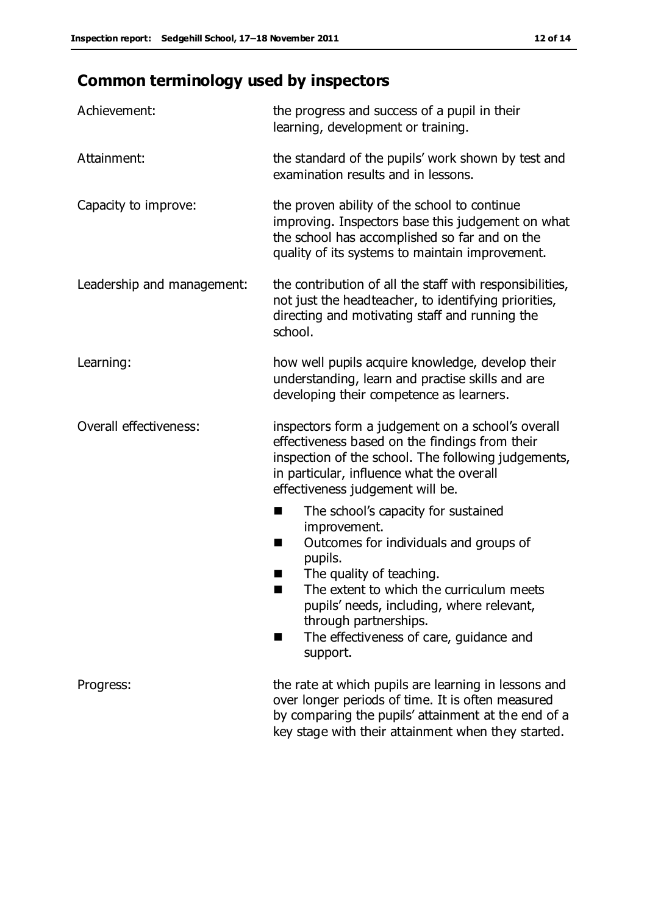# **Common terminology used by inspectors**

| Achievement:                  | the progress and success of a pupil in their<br>learning, development or training.                                                                                                                                                                                                                                      |
|-------------------------------|-------------------------------------------------------------------------------------------------------------------------------------------------------------------------------------------------------------------------------------------------------------------------------------------------------------------------|
| Attainment:                   | the standard of the pupils' work shown by test and<br>examination results and in lessons.                                                                                                                                                                                                                               |
| Capacity to improve:          | the proven ability of the school to continue<br>improving. Inspectors base this judgement on what<br>the school has accomplished so far and on the<br>quality of its systems to maintain improvement.                                                                                                                   |
| Leadership and management:    | the contribution of all the staff with responsibilities,<br>not just the headteacher, to identifying priorities,<br>directing and motivating staff and running the<br>school.                                                                                                                                           |
| Learning:                     | how well pupils acquire knowledge, develop their<br>understanding, learn and practise skills and are<br>developing their competence as learners.                                                                                                                                                                        |
| <b>Overall effectiveness:</b> | inspectors form a judgement on a school's overall<br>effectiveness based on the findings from their<br>inspection of the school. The following judgements,<br>in particular, influence what the overall<br>effectiveness judgement will be.                                                                             |
|                               | The school's capacity for sustained<br>improvement.<br>Outcomes for individuals and groups of<br>п<br>pupils.<br>The quality of teaching.<br>The extent to which the curriculum meets<br>pupils' needs, including, where relevant,<br>through partnerships.<br>The effectiveness of care, guidance and<br>٠<br>support. |
| Progress:                     | the rate at which pupils are learning in lessons and<br>over longer periods of time. It is often measured<br>by comparing the pupils' attainment at the end of a<br>key stage with their attainment when they started.                                                                                                  |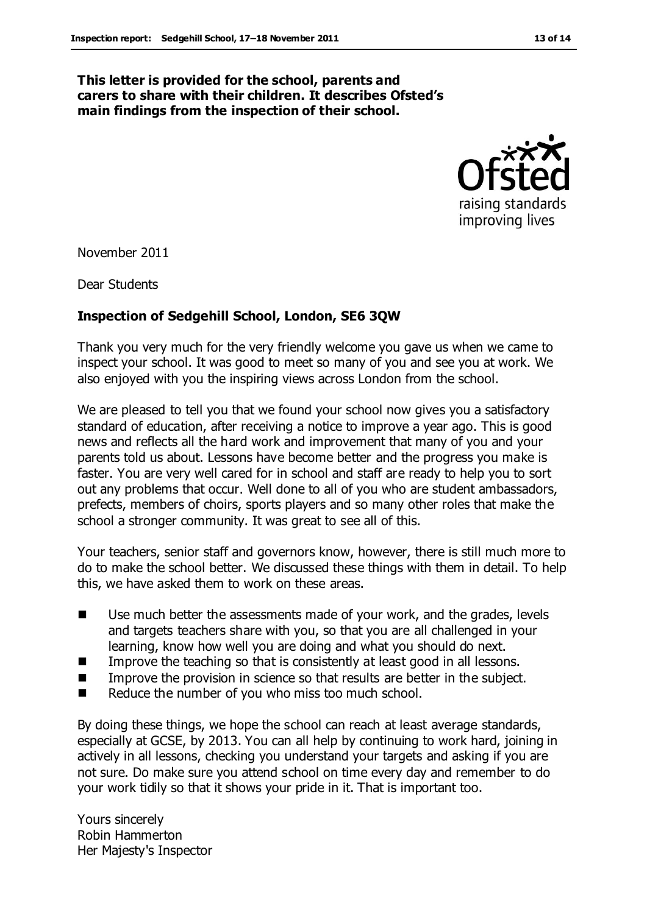#### **This letter is provided for the school, parents and carers to share with their children. It describes Ofsted's main findings from the inspection of their school.**



November 2011

Dear Students

#### **Inspection of Sedgehill School, London, SE6 3QW**

Thank you very much for the very friendly welcome you gave us when we came to inspect your school. It was good to meet so many of you and see you at work. We also enjoyed with you the inspiring views across London from the school.

We are pleased to tell you that we found your school now gives you a satisfactory standard of education, after receiving a notice to improve a year ago. This is good news and reflects all the hard work and improvement that many of you and your parents told us about. Lessons have become better and the progress you make is faster. You are very well cared for in school and staff are ready to help you to sort out any problems that occur. Well done to all of you who are student ambassadors, prefects, members of choirs, sports players and so many other roles that make the school a stronger community. It was great to see all of this.

Your teachers, senior staff and governors know, however, there is still much more to do to make the school better. We discussed these things with them in detail. To help this, we have asked them to work on these areas.

- Use much better the assessments made of your work, and the grades, levels and targets teachers share with you, so that you are all challenged in your learning, know how well you are doing and what you should do next.
- **IMPROVE THE THE SOLUTE IMPROVE THE THE SET OF SOLUTE IMAGES** In all lessons.
- **IMPROVE THE PROVISION IN SCIENCE SO that results are better in the subject.**
- Reduce the number of you who miss too much school.

By doing these things, we hope the school can reach at least average standards, especially at GCSE, by 2013. You can all help by continuing to work hard, joining in actively in all lessons, checking you understand your targets and asking if you are not sure. Do make sure you attend school on time every day and remember to do your work tidily so that it shows your pride in it. That is important too.

Yours sincerely Robin Hammerton Her Majesty's Inspector